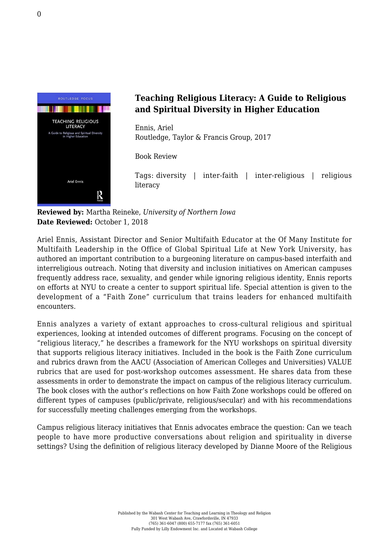

## **Teaching Religious Literacy: A Guide to Religious and Spiritual Diversity in Higher Education**

Ennis, Ariel [Routledge, Taylor & Francis Group, 2017](https://www.routledge.com/Teaching-Religious-Literacy-A-Guide-to-Religious-and-Spiritual-Diversity/Ennis/p/book/9781138635852)

Book Review

Tags: diversity | inter-faith | inter-religious | religious literacy

**Reviewed by:** Martha Reineke, *University of Northern Iowa* **Date Reviewed:** October 1, 2018

Ariel Ennis, Assistant Director and Senior Multifaith Educator at the Of Many Institute for Multifaith Leadership in the Office of Global Spiritual Life at New York University, has authored an important contribution to a burgeoning literature on campus-based interfaith and interreligious outreach. Noting that diversity and inclusion initiatives on American campuses frequently address race, sexuality, and gender while ignoring religious identity, Ennis reports on efforts at NYU to create a center to support spiritual life. Special attention is given to the development of a "Faith Zone" curriculum that trains leaders for enhanced multifaith encounters.

Ennis analyzes a variety of extant approaches to cross-cultural religious and spiritual experiences, looking at intended outcomes of different programs. Focusing on the concept of "religious literacy," he describes a framework for the NYU workshops on spiritual diversity that supports religious literacy initiatives. Included in the book is the Faith Zone curriculum and rubrics drawn from the AACU (Association of American Colleges and Universities) VALUE rubrics that are used for post-workshop outcomes assessment. He shares data from these assessments in order to demonstrate the impact on campus of the religious literacy curriculum. The book closes with the author's reflections on how Faith Zone workshops could be offered on different types of campuses (public/private, religious/secular) and with his recommendations for successfully meeting challenges emerging from the workshops.

Campus religious literacy initiatives that Ennis advocates embrace the question: Can we teach people to have more productive conversations about religion and spirituality in diverse settings? Using the definition of religious literacy developed by Dianne Moore of the Religious